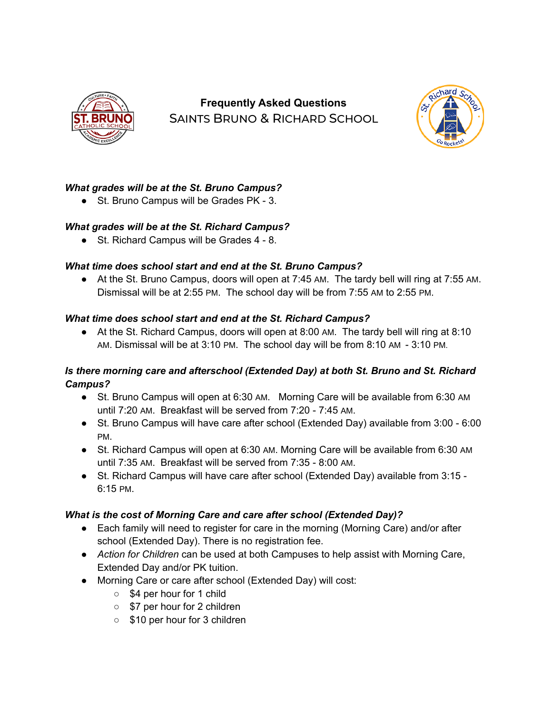

# **Frequently Asked Questions** SAINTS BRUNO & RICHARD SCHOOL



## *What grades will be at the St. Bruno Campus?*

● St. Bruno Campus will be Grades PK - 3.

## *What grades will be at the St. Richard Campus?*

● St. Richard Campus will be Grades 4 - 8.

## *What time does school start and end at the St. Bruno Campus?*

● At the St. Bruno Campus, doors will open at 7:45 AM. The tardy bell will ring at 7:55 AM. Dismissal will be at 2:55 PM. The school day will be from 7:55 AM to 2:55 PM.

## *What time does school start and end at the St. Richard Campus?*

• At the St. Richard Campus, doors will open at 8:00 AM. The tardy bell will ring at 8:10 AM. Dismissal will be at 3:10 PM. The school day will be from 8:10 AM - 3:10 PM.

## *Is there morning care and afterschool (Extended Day) at both St. Bruno and St. Richard Campus?*

- St. Bruno Campus will open at 6:30 AM. Morning Care will be available from 6:30 AM until 7:20 AM. Breakfast will be served from 7:20 - 7:45 AM.
- St. Bruno Campus will have care after school (Extended Day) available from 3:00 6:00 PM.
- St. Richard Campus will open at 6:30 AM. Morning Care will be available from 6:30 AM until 7:35 AM. Breakfast will be served from 7:35 - 8:00 AM.
- St. Richard Campus will have care after school (Extended Day) available from 3:15 -6:15 PM.

## *What is the cost of Morning Care and care after school (Extended Day)?*

- Each family will need to register for care in the morning (Morning Care) and/or after school (Extended Day). There is no registration fee.
- *Action for Children* can be used at both Campuses to help assist with Morning Care, Extended Day and/or PK tuition.
- Morning Care or care after school (Extended Day) will cost:
	- \$4 per hour for 1 child
	- \$7 per hour for 2 children
	- \$10 per hour for 3 children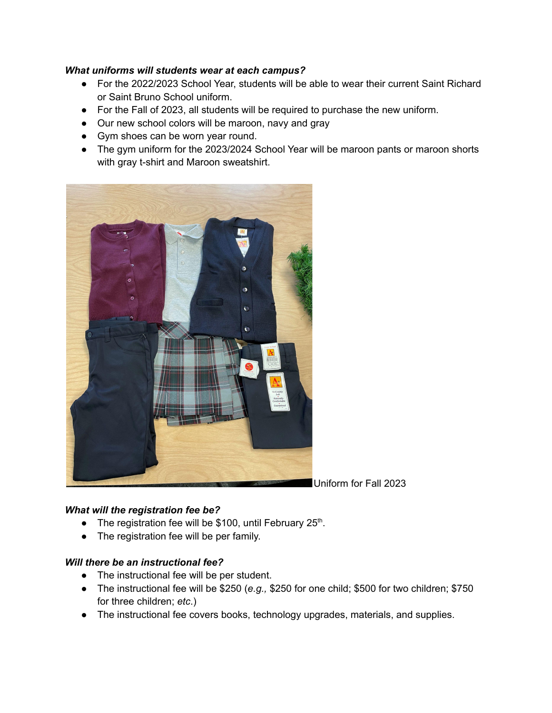#### *What uniforms will students wear at each campus?*

- For the 2022/2023 School Year, students will be able to wear their current Saint Richard or Saint Bruno School uniform.
- For the Fall of 2023, all students will be required to purchase the new uniform.
- Our new school colors will be maroon, navy and gray
- Gym shoes can be worn year round.
- The gym uniform for the 2023/2024 School Year will be maroon pants or maroon shorts with gray t-shirt and Maroon sweatshirt.



#### *What will the registration fee be?*

- The registration fee will be \$100, until February  $25<sup>th</sup>$ .
- The registration fee will be per family.

#### *Will there be an instructional fee?*

- The instructional fee will be per student.
- The instructional fee will be \$250 (*e.g.,* \$250 for one child; \$500 for two children; \$750 for three children; *etc*.)
- The instructional fee covers books, technology upgrades, materials, and supplies.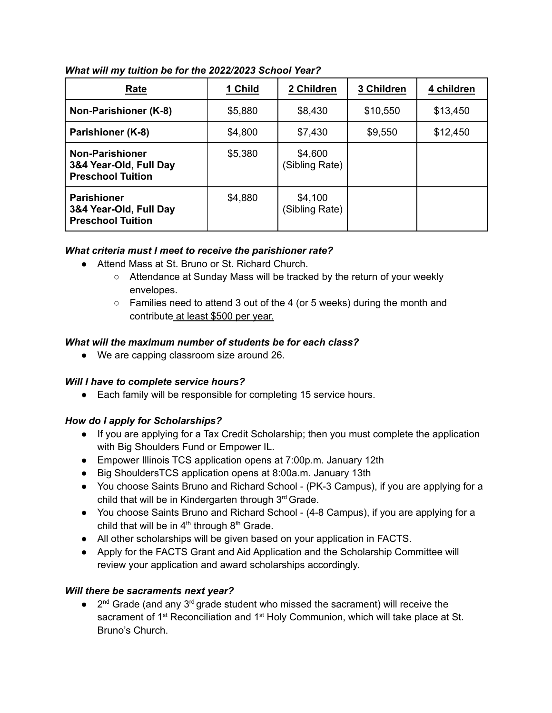| Rate                                                                         | 1 Child | 2 Children                | 3 Children | 4 children |
|------------------------------------------------------------------------------|---------|---------------------------|------------|------------|
| Non-Parishioner (K-8)                                                        | \$5,880 | \$8,430                   | \$10,550   | \$13,450   |
| Parishioner (K-8)                                                            | \$4,800 | \$7,430                   | \$9,550    | \$12,450   |
| <b>Non-Parishioner</b><br>3&4 Year-Old, Full Day<br><b>Preschool Tuition</b> | \$5,380 | \$4,600<br>(Sibling Rate) |            |            |
| <b>Parishioner</b><br>3&4 Year-Old, Full Day<br><b>Preschool Tuition</b>     | \$4,880 | \$4,100<br>(Sibling Rate) |            |            |

*What will my tuition be for the 2022/2023 School Year?*

## *What criteria must I meet to receive the parishioner rate?*

- Attend Mass at St. Bruno or St. Richard Church.
	- Attendance at Sunday Mass will be tracked by the return of your weekly envelopes.
	- $\circ$  Families need to attend 3 out of the 4 (or 5 weeks) during the month and contribute at least \$500 per year.

### *What will the maximum number of students be for each class?*

● We are capping classroom size around 26.

## *Will I have to complete service hours?*

● Each family will be responsible for completing 15 service hours.

## *How do I apply for Scholarships?*

- If you are applying for a Tax Credit Scholarship; then you must complete the application with Big Shoulders Fund or Empower IL.
- Empower Illinois TCS application opens at 7:00p.m. January 12th
- Big ShouldersTCS application opens at 8:00a.m. January 13th
- You choose Saints Bruno and Richard School (PK-3 Campus), if you are applying for a child that will be in Kindergarten through 3<sup>rd</sup> Grade.
- You choose Saints Bruno and Richard School (4-8 Campus), if you are applying for a child that will be in  $4<sup>th</sup>$  through  $8<sup>th</sup>$  Grade.
- All other scholarships will be given based on your application in FACTS.
- Apply for the FACTS Grant and Aid Application and the Scholarship Committee will review your application and award scholarships accordingly.

## *Will there be sacraments next year?*

 $\bullet$  2<sup>nd</sup> Grade (and any 3<sup>rd</sup> grade student who missed the sacrament) will receive the sacrament of 1<sup>st</sup> Reconciliation and 1<sup>st</sup> Holy Communion, which will take place at St. Bruno's Church.